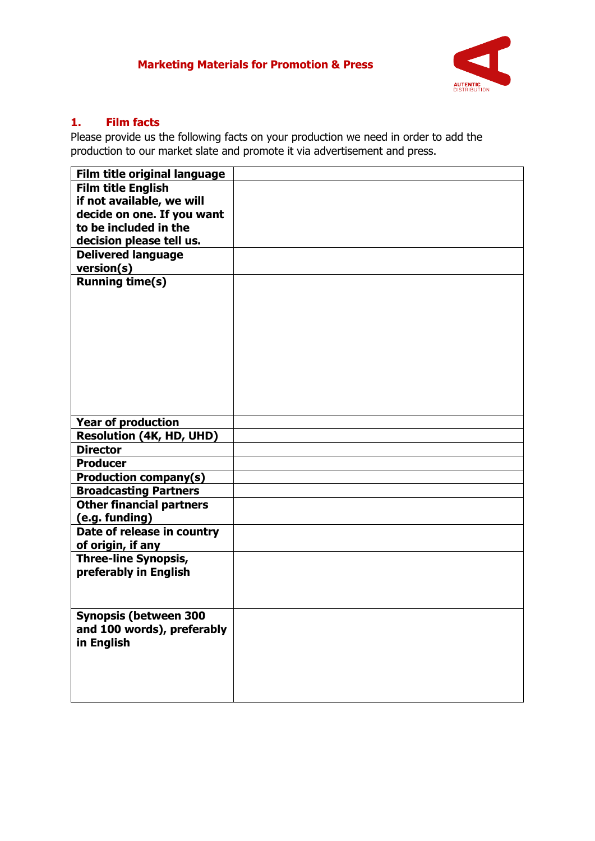## **Marketing Materials for Promotion & Press**



## **1. Film facts**

Please provide us the following facts on your production we need in order to add the production to our market slate and promote it via advertisement and press.

| Film title original language                                 |  |
|--------------------------------------------------------------|--|
| <b>Film title English</b>                                    |  |
| if not available, we will                                    |  |
| decide on one. If you want                                   |  |
| to be included in the                                        |  |
| decision please tell us.                                     |  |
| <b>Delivered language</b>                                    |  |
| version(s)                                                   |  |
| <b>Running time(s)</b>                                       |  |
|                                                              |  |
|                                                              |  |
|                                                              |  |
|                                                              |  |
|                                                              |  |
|                                                              |  |
|                                                              |  |
|                                                              |  |
|                                                              |  |
|                                                              |  |
| <b>Year of production</b><br><b>Resolution (4K, HD, UHD)</b> |  |
| <b>Director</b>                                              |  |
|                                                              |  |
| <b>Producer</b>                                              |  |
| <b>Production company(s)</b>                                 |  |
| <b>Broadcasting Partners</b>                                 |  |
| <b>Other financial partners</b>                              |  |
| (e.g. funding)                                               |  |
| Date of release in country                                   |  |
| of origin, if any                                            |  |
| <b>Three-line Synopsis,</b>                                  |  |
| preferably in English                                        |  |
|                                                              |  |
|                                                              |  |
| Synopsis (between 300                                        |  |
| and 100 words), preferably                                   |  |
| in English                                                   |  |
|                                                              |  |
|                                                              |  |
|                                                              |  |
|                                                              |  |